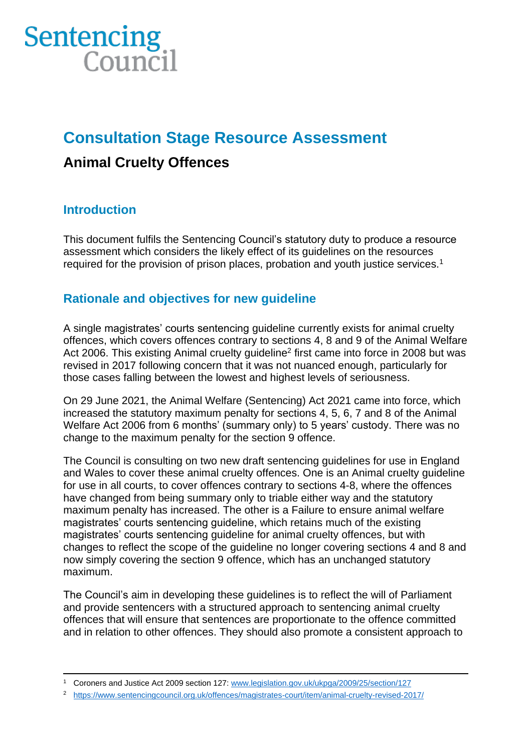# Sentencing  $Conncil$

# **Consultation Stage Resource Assessment**

## **Animal Cruelty Offences**

## **Introduction**

This document fulfils the Sentencing Council's statutory duty to produce a resource assessment which considers the likely effect of its guidelines on the resources required for the provision of prison places, probation and youth justice services.<sup>1</sup>

## **Rationale and objectives for new guideline**

A single magistrates' courts sentencing guideline currently exists for animal cruelty offences, which covers offences contrary to sections 4, 8 and 9 of the Animal Welfare Act 2006. This existing Animal cruelty guideline<sup>2</sup> first came into force in 2008 but was revised in 2017 following concern that it was not nuanced enough, particularly for those cases falling between the lowest and highest levels of seriousness.

On 29 June 2021, the Animal Welfare (Sentencing) Act 2021 came into force, which increased the statutory maximum penalty for sections 4, 5, 6, 7 and 8 of the Animal Welfare Act 2006 from 6 months' (summary only) to 5 years' custody. There was no change to the maximum penalty for the section 9 offence.

The Council is consulting on two new draft sentencing guidelines for use in England and Wales to cover these animal cruelty offences. One is an Animal cruelty guideline for use in all courts, to cover offences contrary to sections 4-8, where the offences have changed from being summary only to triable either way and the statutory maximum penalty has increased. The other is a Failure to ensure animal welfare magistrates' courts sentencing guideline, which retains much of the existing magistrates' courts sentencing guideline for animal cruelty offences, but with changes to reflect the scope of the guideline no longer covering sections 4 and 8 and now simply covering the section 9 offence, which has an unchanged statutory maximum.

The Council's aim in developing these guidelines is to reflect the will of Parliament and provide sentencers with a structured approach to sentencing animal cruelty offences that will ensure that sentences are proportionate to the offence committed and in relation to other offences. They should also promote a consistent approach to

<sup>1</sup> Coroners and Justice Act 2009 section 127: [www.legislation.gov.uk/ukpga/2009/25/section/127](http://www.legislation.gov.uk/ukpga/2009/25/section/127)

<sup>2</sup> <https://www.sentencingcouncil.org.uk/offences/magistrates-court/item/animal-cruelty-revised-2017/>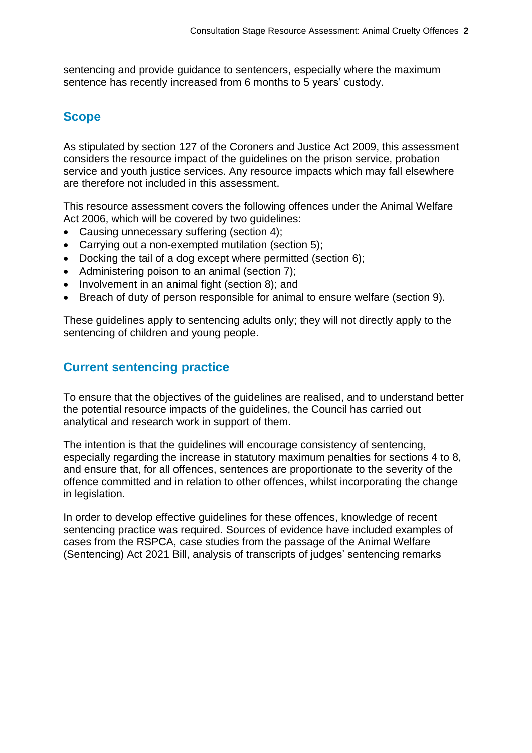sentencing and provide guidance to sentencers, especially where the maximum sentence has recently increased from 6 months to 5 years' custody.

## **Scope**

As stipulated by section 127 of the Coroners and Justice Act 2009, this assessment considers the resource impact of the guidelines on the prison service, probation service and youth justice services. Any resource impacts which may fall elsewhere are therefore not included in this assessment.

This resource assessment covers the following offences under the Animal Welfare Act 2006, which will be covered by two guidelines:

- Causing unnecessary suffering (section 4):
- Carrying out a non-exempted mutilation (section 5);
- Docking the tail of a dog except where permitted (section 6);
- Administering poison to an animal (section 7);
- Involvement in an animal fight (section 8); and
- Breach of duty of person responsible for animal to ensure welfare (section 9).

These guidelines apply to sentencing adults only; they will not directly apply to the sentencing of children and young people.

## **Current sentencing practice**

To ensure that the objectives of the guidelines are realised, and to understand better the potential resource impacts of the guidelines, the Council has carried out analytical and research work in support of them.

The intention is that the guidelines will encourage consistency of sentencing, especially regarding the increase in statutory maximum penalties for sections 4 to 8, and ensure that, for all offences, sentences are proportionate to the severity of the offence committed and in relation to other offences, whilst incorporating the change in legislation.

In order to develop effective guidelines for these offences, knowledge of recent sentencing practice was required. Sources of evidence have included examples of cases from the RSPCA, case studies from the passage of the Animal Welfare (Sentencing) Act 2021 Bill, analysis of transcripts of judges' sentencing remarks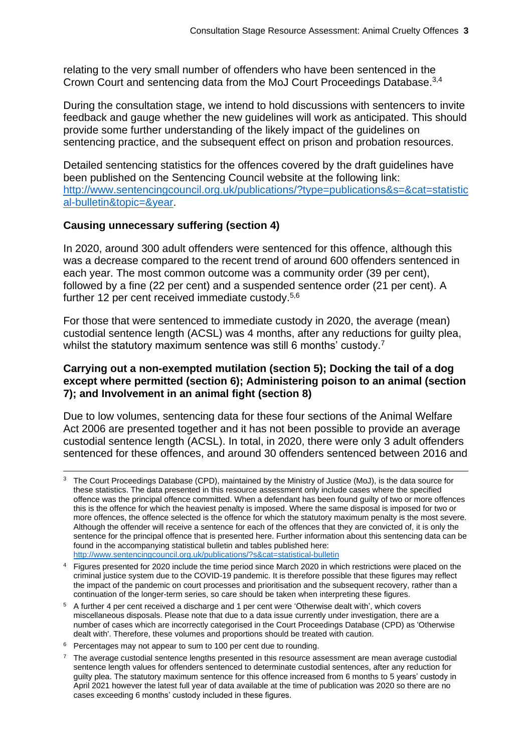relating to the very small number of offenders who have been sentenced in the Crown Court and sentencing data from the MoJ Court Proceedings Database.<sup>3,4</sup>

During the consultation stage, we intend to hold discussions with sentencers to invite feedback and gauge whether the new guidelines will work as anticipated. This should provide some further understanding of the likely impact of the guidelines on sentencing practice, and the subsequent effect on prison and probation resources.

Detailed sentencing statistics for the offences covered by the draft guidelines have been published on the Sentencing Council website at the following link: [http://www.sentencingcouncil.org.uk/publications/?type=publications&s=&cat=statistic](http://www.sentencingcouncil.org.uk/publications/?type=publications&s=&cat=statistical-bulletin&topic=&year) [al-bulletin&topic=&year.](http://www.sentencingcouncil.org.uk/publications/?type=publications&s=&cat=statistical-bulletin&topic=&year)

#### **Causing unnecessary suffering (section 4)**

In 2020, around 300 adult offenders were sentenced for this offence, although this was a decrease compared to the recent trend of around 600 offenders sentenced in each year. The most common outcome was a community order (39 per cent), followed by a fine (22 per cent) and a suspended sentence order (21 per cent). A further 12 per cent received immediate custody.5,6

<span id="page-2-0"></span>For those that were sentenced to immediate custody in 2020, the average (mean) custodial sentence length (ACSL) was 4 months, after any reductions for guilty plea, whilst the statutory maximum sentence was still 6 months' custody.<sup>7</sup>

#### **Carrying out a non-exempted mutilation (section 5); Docking the tail of a dog except where permitted (section 6); Administering poison to an animal (section 7); and Involvement in an animal fight (section 8)**

Due to low volumes, sentencing data for these four sections of the Animal Welfare Act 2006 are presented together and it has not been possible to provide an average custodial sentence length (ACSL). In total, in 2020, there were only 3 adult offenders sentenced for these offences, and around 30 offenders sentenced between 2016 and

<sup>5</sup> A further 4 per cent received a discharge and 1 per cent were 'Otherwise dealt with', which covers miscellaneous disposals. Please note that due to a data issue currently under investigation, there are a number of cases which are incorrectly categorised in the Court Proceedings Database (CPD) as 'Otherwise dealt with'. Therefore, these volumes and proportions should be treated with caution.

<sup>&</sup>lt;sup>3</sup> The Court Proceedings Database (CPD), maintained by the Ministry of Justice (MoJ), is the data source for these statistics. The data presented in this resource assessment only include cases where the specified offence was the principal offence committed. When a defendant has been found guilty of two or more offences this is the offence for which the heaviest penalty is imposed. Where the same disposal is imposed for two or more offences, the offence selected is the offence for which the statutory maximum penalty is the most severe. Although the offender will receive a sentence for each of the offences that they are convicted of, it is only the sentence for the principal offence that is presented here. Further information about this sentencing data can be found in the accompanying statistical bulletin and tables published here: [http://www.sentencingcouncil.org.uk/publications/?s&cat=statistical-bulletin](http://www.sentencingcouncil.org.uk/publications/?s&cat=statistical-bulletin%20%20) 

<sup>&</sup>lt;sup>4</sup> Figures presented for 2020 include the time period since March 2020 in which restrictions were placed on the criminal justice system due to the COVID-19 pandemic. It is therefore possible that these figures may reflect the impact of the pandemic on court processes and prioritisation and the subsequent recovery, rather than a continuation of the longer-term series, so care should be taken when interpreting these figures.

<sup>&</sup>lt;sup>6</sup> Percentages may not appear to sum to 100 per cent due to rounding.

 $7$  The average custodial sentence lengths presented in this resource assessment are mean average custodial sentence length values for offenders sentenced to determinate custodial sentences, after any reduction for guilty plea. The statutory maximum sentence for this offence increased from 6 months to 5 years' custody in April 2021 however the latest full year of data available at the time of publication was 2020 so there are no cases exceeding 6 months' custody included in these figures.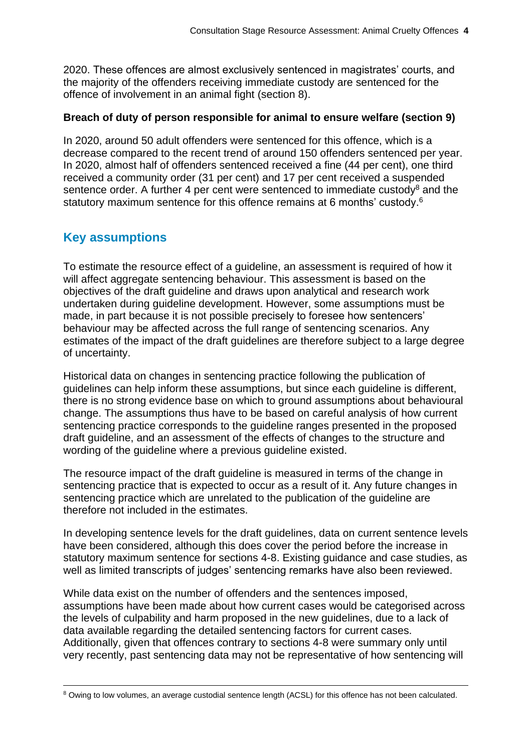2020. These offences are almost exclusively sentenced in magistrates' courts, and the majority of the offenders receiving immediate custody are sentenced for the offence of involvement in an animal fight (section 8).

#### **Breach of duty of person responsible for animal to ensure welfare (section 9)**

In 2020, around 50 adult offenders were sentenced for this offence, which is a decrease compared to the recent trend of around 150 offenders sentenced per year. In 2020, almost half of offenders sentenced received a fine (44 per cent), one third received a community order (31 per cent) and 17 per cent received a suspended sentence order. A further 4 per cent were sentenced to immediate custody<sup>8</sup> and the statutory maximum sentence for this offence remains at [6](#page-2-0) months' custody.<sup>6</sup>

## **Key assumptions**

To estimate the resource effect of a guideline, an assessment is required of how it will affect aggregate sentencing behaviour. This assessment is based on the objectives of the draft guideline and draws upon analytical and research work undertaken during guideline development. However, some assumptions must be made, in part because it is not possible precisely to foresee how sentencers' behaviour may be affected across the full range of sentencing scenarios. Any estimates of the impact of the draft guidelines are therefore subject to a large degree of uncertainty.

Historical data on changes in sentencing practice following the publication of guidelines can help inform these assumptions, but since each guideline is different, there is no strong evidence base on which to ground assumptions about behavioural change. The assumptions thus have to be based on careful analysis of how current sentencing practice corresponds to the guideline ranges presented in the proposed draft guideline, and an assessment of the effects of changes to the structure and wording of the guideline where a previous guideline existed.

The resource impact of the draft guideline is measured in terms of the change in sentencing practice that is expected to occur as a result of it. Any future changes in sentencing practice which are unrelated to the publication of the guideline are therefore not included in the estimates.

In developing sentence levels for the draft guidelines, data on current sentence levels have been considered, although this does cover the period before the increase in statutory maximum sentence for sections 4-8. Existing guidance and case studies, as well as limited transcripts of judges' sentencing remarks have also been reviewed.

While data exist on the number of offenders and the sentences imposed, assumptions have been made about how current cases would be categorised across the levels of culpability and harm proposed in the new guidelines, due to a lack of data available regarding the detailed sentencing factors for current cases. Additionally, given that offences contrary to sections 4-8 were summary only until very recently, past sentencing data may not be representative of how sentencing will

<sup>8</sup> Owing to low volumes, an average custodial sentence length (ACSL) for this offence has not been calculated.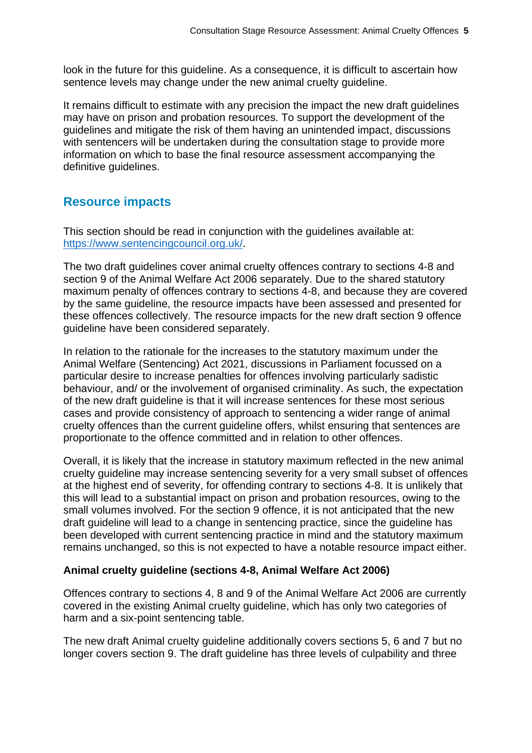look in the future for this guideline. As a consequence, it is difficult to ascertain how sentence levels may change under the new animal cruelty guideline.

It remains difficult to estimate with any precision the impact the new draft guidelines may have on prison and probation resources. To support the development of the guidelines and mitigate the risk of them having an unintended impact, discussions with sentencers will be undertaken during the consultation stage to provide more information on which to base the final resource assessment accompanying the definitive guidelines.

## **Resource impacts**

This section should be read in conjunction with the guidelines available at: [https://www.sentencingcouncil.org.uk/.](https://www.sentencingcouncil.org.uk/)

The two draft guidelines cover animal cruelty offences contrary to sections 4-8 and section 9 of the Animal Welfare Act 2006 separately. Due to the shared statutory maximum penalty of offences contrary to sections 4-8, and because they are covered by the same guideline, the resource impacts have been assessed and presented for these offences collectively. The resource impacts for the new draft section 9 offence guideline have been considered separately.

In relation to the rationale for the increases to the statutory maximum under the Animal Welfare (Sentencing) Act 2021, discussions in Parliament focussed on a particular desire to increase penalties for offences involving particularly sadistic behaviour, and/ or the involvement of organised criminality. As such, the expectation of the new draft guideline is that it will increase sentences for these most serious cases and provide consistency of approach to sentencing a wider range of animal cruelty offences than the current guideline offers, whilst ensuring that sentences are proportionate to the offence committed and in relation to other offences.

Overall, it is likely that the increase in statutory maximum reflected in the new animal cruelty guideline may increase sentencing severity for a very small subset of offences at the highest end of severity, for offending contrary to sections 4-8. It is unlikely that this will lead to a substantial impact on prison and probation resources, owing to the small volumes involved. For the section 9 offence, it is not anticipated that the new draft guideline will lead to a change in sentencing practice, since the guideline has been developed with current sentencing practice in mind and the statutory maximum remains unchanged, so this is not expected to have a notable resource impact either.

#### **Animal cruelty guideline (sections 4-8, Animal Welfare Act 2006)**

Offences contrary to sections 4, 8 and 9 of the Animal Welfare Act 2006 are currently covered in the existing Animal cruelty guideline, which has only two categories of harm and a six-point sentencing table.

The new draft Animal cruelty guideline additionally covers sections 5, 6 and 7 but no longer covers section 9. The draft guideline has three levels of culpability and three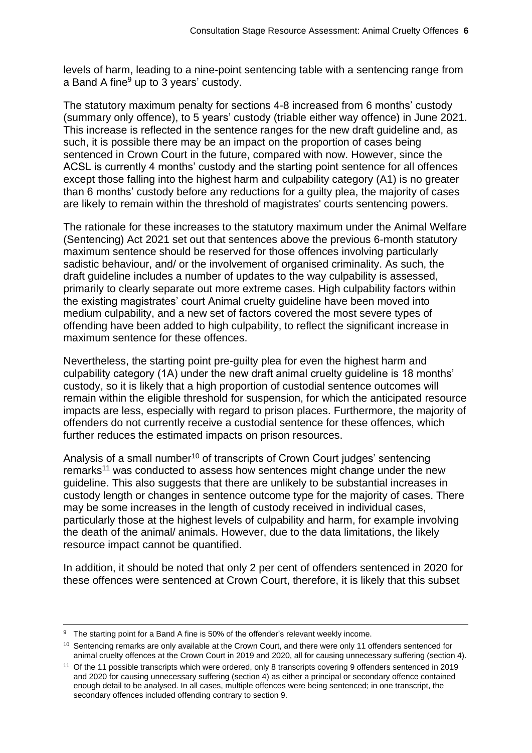levels of harm, leading to a nine-point sentencing table with a sentencing range from a Band A fine $9$  up to 3 years' custody.

The statutory maximum penalty for sections 4-8 increased from 6 months' custody (summary only offence), to 5 years' custody (triable either way offence) in June 2021. This increase is reflected in the sentence ranges for the new draft guideline and, as such, it is possible there may be an impact on the proportion of cases being sentenced in Crown Court in the future, compared with now. However, since the ACSL is currently 4 months' custody and the starting point sentence for all offences except those falling into the highest harm and culpability category (A1) is no greater than 6 months' custody before any reductions for a guilty plea, the majority of cases are likely to remain within the threshold of magistrates' courts sentencing powers.

The rationale for these increases to the statutory maximum under the Animal Welfare (Sentencing) Act 2021 set out that sentences above the previous 6-month statutory maximum sentence should be reserved for those offences involving particularly sadistic behaviour, and/ or the involvement of organised criminality. As such, the draft guideline includes a number of updates to the way culpability is assessed, primarily to clearly separate out more extreme cases. High culpability factors within the existing magistrates' court Animal cruelty guideline have been moved into medium culpability, and a new set of factors covered the most severe types of offending have been added to high culpability, to reflect the significant increase in maximum sentence for these offences.

Nevertheless, the starting point pre-guilty plea for even the highest harm and culpability category (1A) under the new draft animal cruelty guideline is 18 months' custody, so it is likely that a high proportion of custodial sentence outcomes will remain within the eligible threshold for suspension, for which the anticipated resource impacts are less, especially with regard to prison places. Furthermore, the majority of offenders do not currently receive a custodial sentence for these offences, which further reduces the estimated impacts on prison resources.

Analysis of a small number<sup>10</sup> of transcripts of Crown Court judges' sentencing remarks<sup>11</sup> was conducted to assess how sentences might change under the new guideline. This also suggests that there are unlikely to be substantial increases in custody length or changes in sentence outcome type for the majority of cases. There may be some increases in the length of custody received in individual cases, particularly those at the highest levels of culpability and harm, for example involving the death of the animal/ animals. However, due to the data limitations, the likely resource impact cannot be quantified.

In addition, it should be noted that only 2 per cent of offenders sentenced in 2020 for these offences were sentenced at Crown Court, therefore, it is likely that this subset

<sup>&</sup>lt;sup>9</sup> The starting point for a Band A fine is 50% of the offender's relevant weekly income.

<sup>&</sup>lt;sup>10</sup> Sentencing remarks are only available at the Crown Court, and there were only 11 offenders sentenced for animal cruelty offences at the Crown Court in 2019 and 2020, all for causing unnecessary suffering (section 4).

<sup>11</sup> Of the 11 possible transcripts which were ordered, only 8 transcripts covering 9 offenders sentenced in 2019 and 2020 for causing unnecessary suffering (section 4) as either a principal or secondary offence contained enough detail to be analysed. In all cases, multiple offences were being sentenced; in one transcript, the secondary offences included offending contrary to section 9.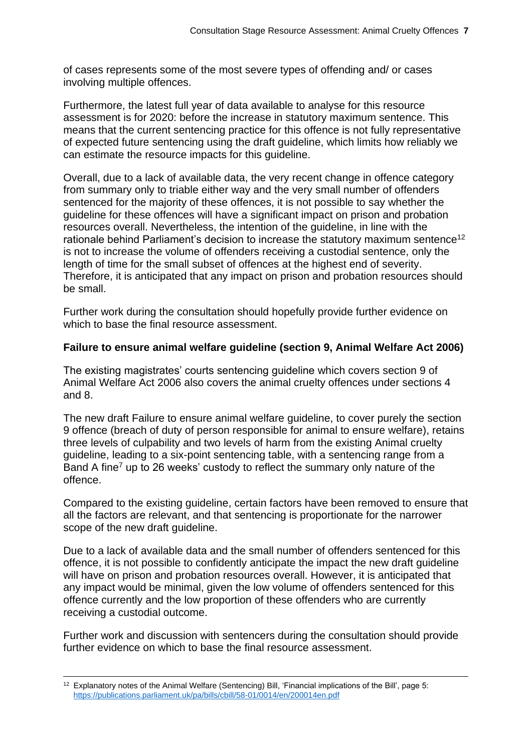of cases represents some of the most severe types of offending and/ or cases involving multiple offences.

Furthermore, the latest full year of data available to analyse for this resource assessment is for 2020: before the increase in statutory maximum sentence. This means that the current sentencing practice for this offence is not fully representative of expected future sentencing using the draft guideline, which limits how reliably we can estimate the resource impacts for this guideline.

Overall, due to a lack of available data, the very recent change in offence category from summary only to triable either way and the very small number of offenders sentenced for the majority of these offences, it is not possible to say whether the guideline for these offences will have a significant impact on prison and probation resources overall. Nevertheless, the intention of the guideline, in line with the rationale behind Parliament's decision to increase the statutory maximum sentence<sup>12</sup> is not to increase the volume of offenders receiving a custodial sentence, only the length of time for the small subset of offences at the highest end of severity. Therefore, it is anticipated that any impact on prison and probation resources should be small.

Further work during the consultation should hopefully provide further evidence on which to base the final resource assessment.

#### **Failure to ensure animal welfare guideline (section 9, Animal Welfare Act 2006)**

The existing magistrates' courts sentencing guideline which covers section 9 of Animal Welfare Act 2006 also covers the animal cruelty offences under sections 4 and 8.

The new draft Failure to ensure animal welfare guideline, to cover purely the section 9 offence (breach of duty of person responsible for animal to ensure welfare), retains three levels of culpability and two levels of harm from the existing Animal cruelty guideline, leading to a six-point sentencing table, with a sentencing range from a Band A fine<sup>7</sup> up to 26 weeks' custody to reflect the summary only nature of the offence.

Compared to the existing guideline, certain factors have been removed to ensure that all the factors are relevant, and that sentencing is proportionate for the narrower scope of the new draft quideline.

Due to a lack of available data and the small number of offenders sentenced for this offence, it is not possible to confidently anticipate the impact the new draft guideline will have on prison and probation resources overall. However, it is anticipated that any impact would be minimal, given the low volume of offenders sentenced for this offence currently and the low proportion of these offenders who are currently receiving a custodial outcome.

Further work and discussion with sentencers during the consultation should provide further evidence on which to base the final resource assessment.

 $12$  Explanatory notes of the Animal Welfare (Sentencing) Bill, 'Financial implications of the Bill', page 5: <https://publications.parliament.uk/pa/bills/cbill/58-01/0014/en/200014en.pdf>